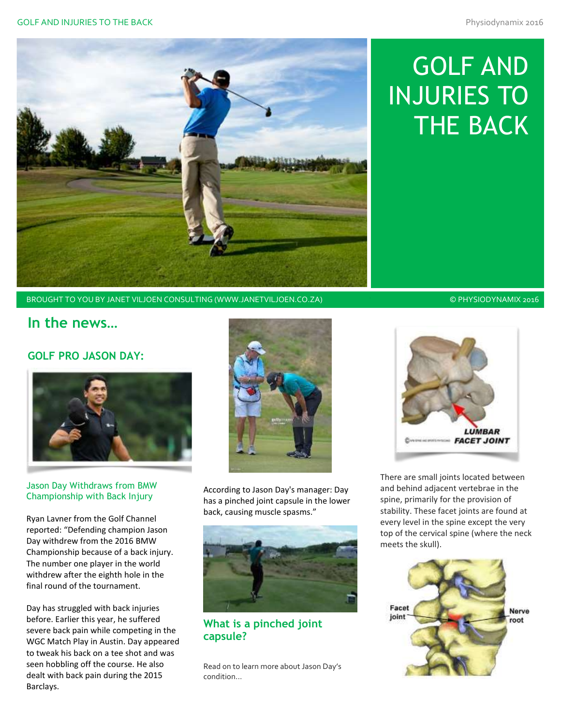

# GOLF AND INJURIES TO THE BACK

BROUGHT TO YOU BY JANET VILJOEN CONSULTING (WWW.JANETVILJOEN.CO.ZA) © © PHYSIODYNAMIX 2016

## **In the news…**

## **GOLF PRO JASON DAY:**



#### Jason Day Withdraws from BMW Championship with Back Injury

Ryan Lavner from the Golf Channel reported: "Defending champion Jason Day withdrew from the 2016 BMW Championship because of a back injury. The number one player in the world withdrew after the eighth hole in the final round of the tournament.

Day has struggled with back injuries before. Earlier this year, he suffered severe back pain while competing in the WGC Match Play in Austin. Day appeared to tweak his back on a tee shot and was seen hobbling off the course. He also dealt with back pain during the 2015 Barclays.



According to Jason Day's manager: Day has a pinched joint capsule in the lower back, causing muscle spasms."



## **What is a pinched joint capsule?**

Read on to learn more about Jason Day's condition…



There are small joints located between and behind adjacent vertebrae in the spine, primarily for the provision of stability. These facet joints are found at every level in the spine except the very top of the cervical spine (where the neck meets the skull).